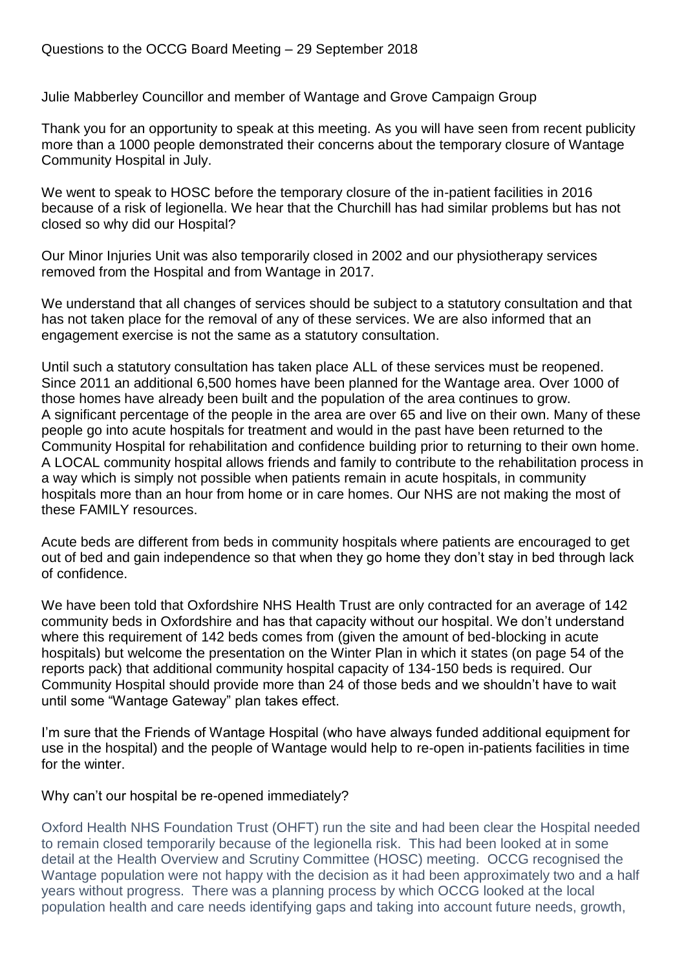Julie Mabberley Councillor and member of Wantage and Grove Campaign Group

Thank you for an opportunity to speak at this meeting. As you will have seen from recent publicity more than a 1000 people demonstrated their concerns about the temporary closure of Wantage Community Hospital in July.

We went to speak to HOSC before the temporary closure of the in-patient facilities in 2016 because of a risk of legionella. We hear that the Churchill has had similar problems but has not closed so why did our Hospital?

Our Minor Injuries Unit was also temporarily closed in 2002 and our physiotherapy services removed from the Hospital and from Wantage in 2017.

We understand that all changes of services should be subject to a statutory consultation and that has not taken place for the removal of any of these services. We are also informed that an engagement exercise is not the same as a statutory consultation.

Until such a statutory consultation has taken place ALL of these services must be reopened. Since 2011 an additional 6,500 homes have been planned for the Wantage area. Over 1000 of those homes have already been built and the population of the area continues to grow. A significant percentage of the people in the area are over 65 and live on their own. Many of these people go into acute hospitals for treatment and would in the past have been returned to the Community Hospital for rehabilitation and confidence building prior to returning to their own home. A LOCAL community hospital allows friends and family to contribute to the rehabilitation process in a way which is simply not possible when patients remain in acute hospitals, in community hospitals more than an hour from home or in care homes. Our NHS are not making the most of these FAMILY resources.

Acute beds are different from beds in community hospitals where patients are encouraged to get out of bed and gain independence so that when they go home they don't stay in bed through lack of confidence.

We have been told that Oxfordshire NHS Health Trust are only contracted for an average of 142 community beds in Oxfordshire and has that capacity without our hospital. We don't understand where this requirement of 142 beds comes from (given the amount of bed-blocking in acute hospitals) but welcome the presentation on the Winter Plan in which it states (on page 54 of the reports pack) that additional community hospital capacity of 134-150 beds is required. Our Community Hospital should provide more than 24 of those beds and we shouldn't have to wait until some "Wantage Gateway" plan takes effect.

I'm sure that the Friends of Wantage Hospital (who have always funded additional equipment for use in the hospital) and the people of Wantage would help to re-open in-patients facilities in time for the winter.

## Why can't our hospital be re-opened immediately?

Oxford Health NHS Foundation Trust (OHFT) run the site and had been clear the Hospital needed to remain closed temporarily because of the legionella risk. This had been looked at in some detail at the Health Overview and Scrutiny Committee (HOSC) meeting. OCCG recognised the Wantage population were not happy with the decision as it had been approximately two and a half years without progress. There was a planning process by which OCCG looked at the local population health and care needs identifying gaps and taking into account future needs, growth,